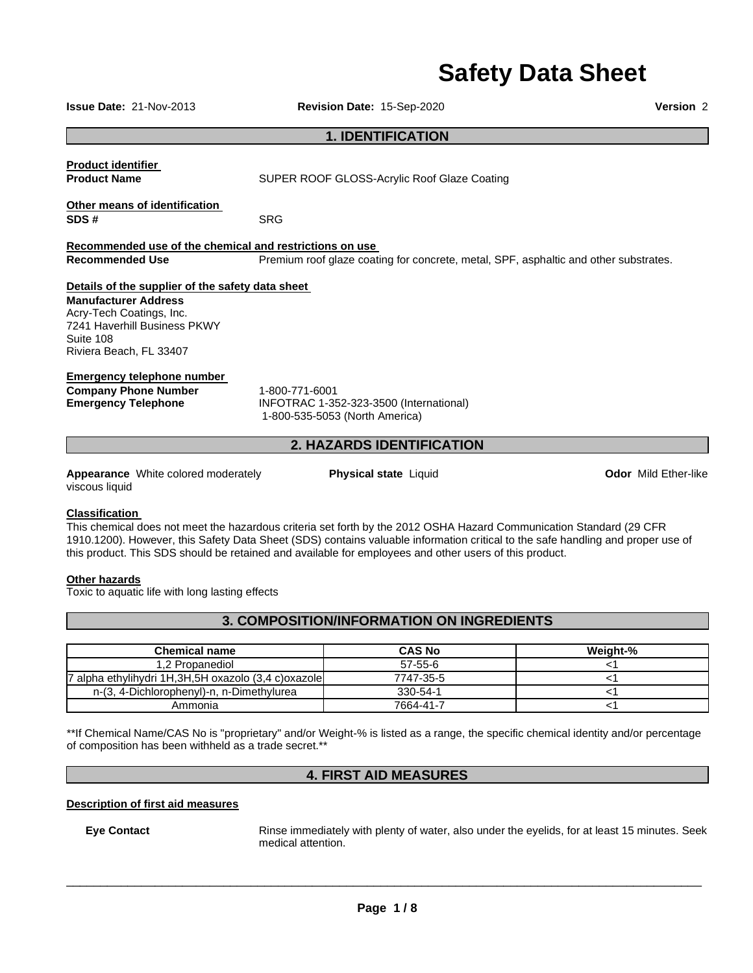# **Safety Data Sheet**

| Issue Date: 21-Nov-2013                                                                                                                                                                                                                                                               | Revision Date: 15-Sep-2020                                                                  |                                             | Version 2                                                                                                                       |
|---------------------------------------------------------------------------------------------------------------------------------------------------------------------------------------------------------------------------------------------------------------------------------------|---------------------------------------------------------------------------------------------|---------------------------------------------|---------------------------------------------------------------------------------------------------------------------------------|
|                                                                                                                                                                                                                                                                                       |                                                                                             | <b>1. IDENTIFICATION</b>                    |                                                                                                                                 |
| <b>Product identifier</b><br><b>Product Name</b>                                                                                                                                                                                                                                      |                                                                                             | SUPER ROOF GLOSS-Acrylic Roof Glaze Coating |                                                                                                                                 |
| Other means of identification<br>SDS#                                                                                                                                                                                                                                                 | <b>SRG</b>                                                                                  |                                             |                                                                                                                                 |
| Recommended use of the chemical and restrictions on use                                                                                                                                                                                                                               |                                                                                             |                                             |                                                                                                                                 |
| <b>Recommended Use</b>                                                                                                                                                                                                                                                                |                                                                                             |                                             | Premium roof glaze coating for concrete, metal, SPF, asphaltic and other substrates.                                            |
| Details of the supplier of the safety data sheet<br><b>Manufacturer Address</b><br>Acry-Tech Coatings, Inc.<br>7241 Haverhill Business PKWY<br>Suite 108<br>Riviera Beach, FL 33407<br><b>Emergency telephone number</b><br><b>Company Phone Number</b><br><b>Emergency Telephone</b> | 1-800-771-6001<br>INFOTRAC 1-352-323-3500 (International)<br>1-800-535-5053 (North America) |                                             |                                                                                                                                 |
|                                                                                                                                                                                                                                                                                       |                                                                                             | <b>2. HAZARDS IDENTIFICATION</b>            |                                                                                                                                 |
| <b>Appearance</b> White colored moderately<br>viscous liquid                                                                                                                                                                                                                          |                                                                                             | <b>Physical state Liquid</b>                | <b>Odor</b> Mild Ether-like                                                                                                     |
| <b>Classification</b><br>This chemical does not meet the hazardous criteria set forth by the 2012 OSHA Hazard Communication Standard (29 CFR<br>this product. This SDS should be retained and available for employees and other users of this product.                                |                                                                                             |                                             | 1910.1200). However, this Safety Data Sheet (SDS) contains valuable information critical to the safe handling and proper use of |

#### **Other hazards**

Toxic to aquatic life with long lasting effects

# **3. COMPOSITION/INFORMATION ON INGREDIENTS**

| <b>Chemical name</b>                                | <b>CAS No</b>  | Weight-% |
|-----------------------------------------------------|----------------|----------|
| 1,2 Propanediol                                     | 57-55-6        |          |
| ' alpha ethylihydri 1H,3H,5H oxazolo (3,4 c)oxazole | 7747-35-5      |          |
| n-(3, 4-Dichlorophenyl)-n, n-Dimethylurea           | $330 - 54 - 1$ |          |
| Ammonia                                             | 7664-41-7      |          |

\*\*If Chemical Name/CAS No is "proprietary" and/or Weight-% is listed as a range, the specific chemical identity and/or percentage of composition has been withheld as a trade secret.\*\*

# **4. FIRST AID MEASURES**

#### **Description of first aid measures**

**Eye Contact Rinse immediately with plenty of water, also under the eyelids, for at least 15 minutes. Seek** medical attention.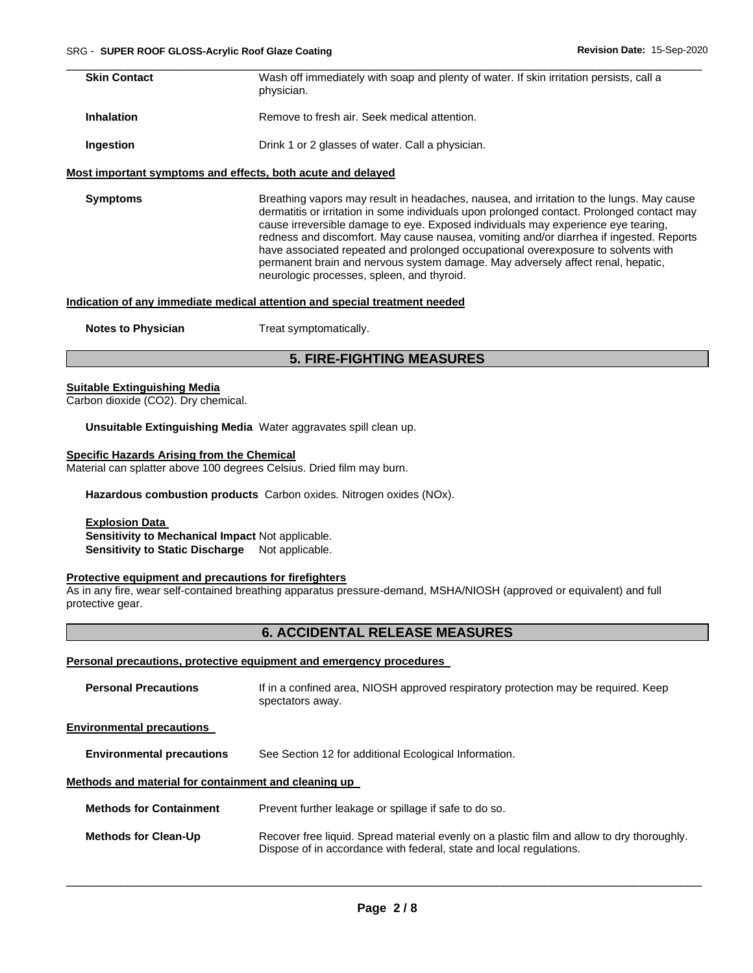| <b>Skin Contact</b> | Wash off immediately with soap and plenty of water. If skin irritation persists, call a<br>physician. |
|---------------------|-------------------------------------------------------------------------------------------------------|
| <b>Inhalation</b>   | Remove to fresh air. Seek medical attention.                                                          |
| Ingestion           | Drink 1 or 2 glasses of water. Call a physician.                                                      |

#### **Most important symptoms and effects, both acute and delayed**

**Symptoms** Breathing vapors may result in headaches, nausea, and irritation to the lungs. May cause dermatitis or irritation in some individuals upon prolonged contact. Prolonged contact may cause irreversible damage to eye. Exposed individuals may experience eye tearing, redness and discomfort. May cause nausea, vomiting and/or diarrhea if ingested. Reports have associated repeated and prolonged occupational overexposure to solvents with permanent brain and nervous system damage. May adversely affect renal, hepatic, neurologic processes, spleen, and thyroid.

#### **Indication of any immediate medical attention and special treatment needed**

**Notes to Physician Treat symptomatically.** 

# **5. FIRE-FIGHTING MEASURES**

#### **Suitable Extinguishing Media**

Carbon dioxide (CO2). Dry chemical.

**Unsuitable Extinguishing Media** Water aggravates spill clean up.

#### **Specific Hazards Arising from the Chemical**

Material can splatter above 100 degrees Celsius. Dried film may burn.

**Hazardous combustion products** Carbon oxides. Nitrogen oxides (NOx).

**Explosion Data Sensitivity to Mechanical Impact** Not applicable. **Sensitivity to Static Discharge** Not applicable.

#### **Protective equipment and precautions for firefighters**

As in any fire, wear self-contained breathing apparatus pressure-demand, MSHA/NIOSH (approved or equivalent) and full protective gear.

# **6. ACCIDENTAL RELEASE MEASURES**

#### **Personal precautions, protective equipment and emergency procedures**

| <b>Personal Precautions</b>                          | If in a confined area, NIOSH approved respiratory protection may be required. Keep<br>spectators away. |
|------------------------------------------------------|--------------------------------------------------------------------------------------------------------|
| <b>Environmental precautions</b>                     |                                                                                                        |
| <b>Environmental precautions</b>                     | See Section 12 for additional Ecological Information.                                                  |
| Methods and material for containment and cleaning up |                                                                                                        |
| <b>Methods for Containment</b>                       | Prevent further leakage or spillage if safe to do so.                                                  |
|                                                      |                                                                                                        |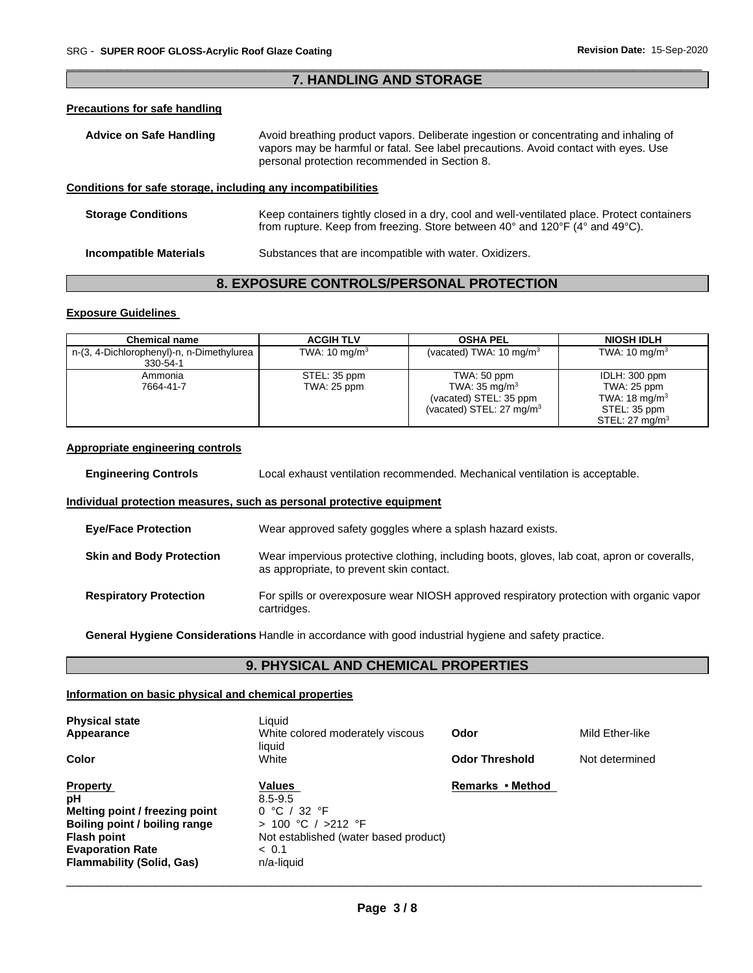#### \_\_\_\_\_\_\_\_\_\_\_\_\_\_\_\_\_\_\_\_\_\_\_\_\_\_\_\_\_\_\_\_\_\_\_\_\_\_\_\_\_\_\_\_\_\_\_\_\_\_\_\_\_\_\_\_\_\_\_\_\_\_\_\_\_\_\_\_\_\_\_\_\_\_\_\_\_\_\_\_\_\_\_\_\_\_\_\_\_\_\_\_\_ **7. HANDLING AND STORAGE**

#### **Precautions for safe handling**

| Advice on Safe Handling | Avoid breathing product vapors. Deliberate ingestion or concentrating and inhaling of |
|-------------------------|---------------------------------------------------------------------------------------|
|                         | vapors may be harmful or fatal. See label precautions. Avoid contact with eyes. Use   |
|                         | personal protection recommended in Section 8.                                         |

#### **Conditions for safe storage, including any incompatibilities**

| <b>Storage Conditions</b> | Keep containers tightly closed in a dry, cool and well-ventilated place. Protect containers<br>from rupture. Keep from freezing. Store between $40^{\circ}$ and $120^{\circ}$ F (4° and 49°C). |
|---------------------------|------------------------------------------------------------------------------------------------------------------------------------------------------------------------------------------------|
| Incompatible Materials    | Substances that are incompatible with water. Oxidizers.                                                                                                                                        |

#### **8. EXPOSURE CONTROLS/PERSONAL PROTECTION**

#### **Exposure Guidelines**

| <b>Chemical name</b>                                  | <b>ACGIH TLV</b>            | <b>OSHA PEL</b>                                                                                          | <b>NIOSH IDLH</b>                                                                                             |
|-------------------------------------------------------|-----------------------------|----------------------------------------------------------------------------------------------------------|---------------------------------------------------------------------------------------------------------------|
| n-(3, 4-Dichlorophenyl)-n, n-Dimethylurea<br>330-54-1 | TWA: $10 \text{ mg/m}^3$    | (vacated) TWA: $10 \text{ ma/m}^3$                                                                       | TWA: $10 \text{ mg/m}^3$                                                                                      |
| Ammonia<br>7664-41-7                                  | STEL: 35 ppm<br>TWA: 25 ppm | TWA: 50 ppm<br>TWA: $35 \text{ mg/m}^3$<br>(vacated) STEL: 35 ppm<br>(vacated) STEL: $27 \text{ mg/m}^3$ | IDLH: 300 ppm<br><b>TWA: 25 ppm</b><br>TWA: 18 mg/m <sup>3</sup><br>STEL: 35 ppm<br>STEL: $27 \text{ mg/m}^3$ |

#### **Appropriate engineering controls**

| <b>Engineering Controls</b>     | Local exhaust ventilation recommended. Mechanical ventilation is acceptable.                                                            |  |  |
|---------------------------------|-----------------------------------------------------------------------------------------------------------------------------------------|--|--|
|                                 | Individual protection measures, such as personal protective equipment                                                                   |  |  |
| <b>Eye/Face Protection</b>      | Wear approved safety goggles where a splash hazard exists.                                                                              |  |  |
| <b>Skin and Body Protection</b> | Wear impervious protective clothing, including boots, gloves, lab coat, apron or coveralls,<br>as appropriate, to prevent skin contact. |  |  |
| <b>Respiratory Protection</b>   | For spills or overexposure wear NIOSH approved respiratory protection with organic vapor<br>cartridges.                                 |  |  |

**General Hygiene Considerations** Handle in accordance with good industrial hygiene and safety practice.

# **9. PHYSICAL AND CHEMICAL PROPERTIES**

#### **Information on basic physical and chemical properties**

| <b>Physical state</b><br>Appearance                                                                                                                                           | Liquid<br>White colored moderately viscous<br>liquid                                                                             | Odor                  | Mild Ether-like |
|-------------------------------------------------------------------------------------------------------------------------------------------------------------------------------|----------------------------------------------------------------------------------------------------------------------------------|-----------------------|-----------------|
| <b>Color</b>                                                                                                                                                                  | White                                                                                                                            | <b>Odor Threshold</b> | Not determined  |
| <b>Property</b><br>рH<br>Melting point / freezing point<br>Boiling point / boiling range<br><b>Flash point</b><br><b>Evaporation Rate</b><br><b>Flammability (Solid, Gas)</b> | Values<br>$8.5 - 9.5$<br>0 °C / 32 °F<br>$> 100$ °C / $>212$ °F<br>Not established (water based product)<br>~< 0.1<br>n/a-liquid | Remarks • Method      |                 |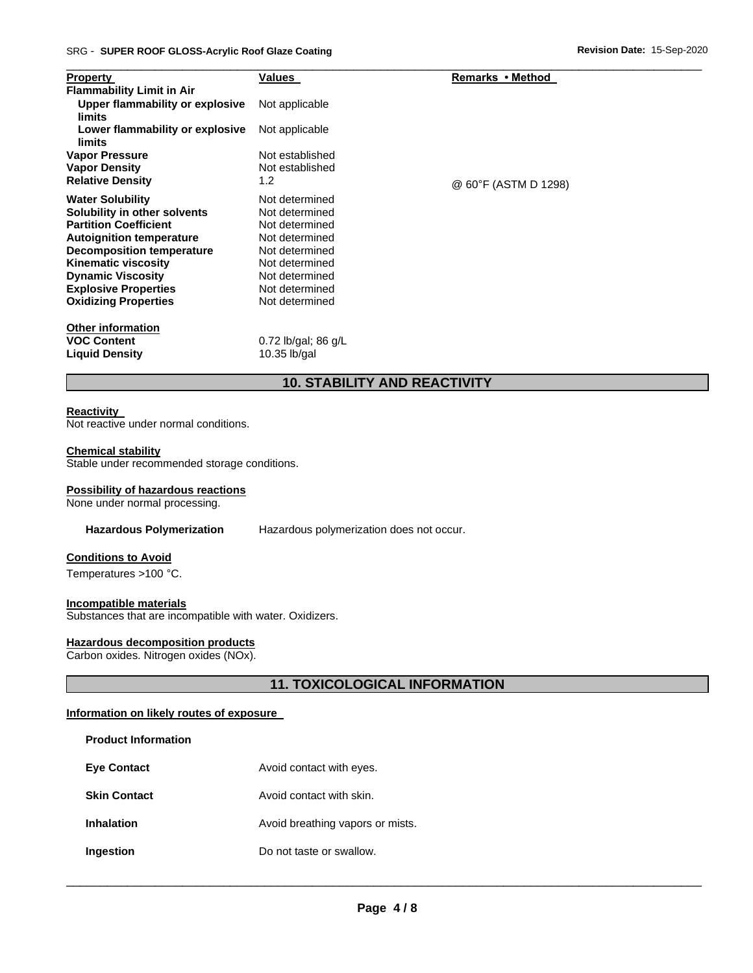| <b>Property</b>                                  | Values              | Remarks • Method     |  |
|--------------------------------------------------|---------------------|----------------------|--|
| <b>Flammability Limit in Air</b>                 |                     |                      |  |
| Upper flammability or explosive<br><b>limits</b> | Not applicable      |                      |  |
| Lower flammability or explosive<br>limits        | Not applicable      |                      |  |
| <b>Vapor Pressure</b>                            | Not established     |                      |  |
| <b>Vapor Density</b>                             | Not established     |                      |  |
| <b>Relative Density</b>                          | 1.2                 | @ 60°F (ASTM D 1298) |  |
| <b>Water Solubility</b>                          | Not determined      |                      |  |
| Solubility in other solvents                     | Not determined      |                      |  |
| <b>Partition Coefficient</b>                     | Not determined      |                      |  |
| <b>Autoignition temperature</b>                  | Not determined      |                      |  |
| <b>Decomposition temperature</b>                 | Not determined      |                      |  |
| <b>Kinematic viscosity</b>                       | Not determined      |                      |  |
| <b>Dynamic Viscosity</b>                         | Not determined      |                      |  |
| <b>Explosive Properties</b>                      | Not determined      |                      |  |
| <b>Oxidizing Properties</b>                      | Not determined      |                      |  |
| <b>Other information</b>                         |                     |                      |  |
| <b>VOC Content</b>                               | 0.72 lb/gal; 86 g/L |                      |  |
| <b>Liquid Density</b>                            | $10.35$ lb/gal      |                      |  |

# **10. STABILITY AND REACTIVITY**

#### **Reactivity**

Not reactive under normal conditions.

#### **Chemical stability**

Stable under recommended storage conditions.

#### **Possibility of hazardous reactions**

None under normal processing.

**Hazardous Polymerization** Hazardous polymerization does not occur.

# **Conditions to Avoid**

Temperatures >100 °C.

#### **Incompatible materials**

Substances that are incompatible with water. Oxidizers.

#### **Hazardous decomposition products**

Carbon oxides. Nitrogen oxides (NOx).

# **11. TOXICOLOGICAL INFORMATION**

#### **Information on likely routes of exposure**

| <b>Product Information</b> |                                  |
|----------------------------|----------------------------------|
| <b>Eve Contact</b>         | Avoid contact with eyes.         |
| <b>Skin Contact</b>        | Avoid contact with skin.         |
| Inhalation                 | Avoid breathing vapors or mists. |
| Ingestion                  | Do not taste or swallow.         |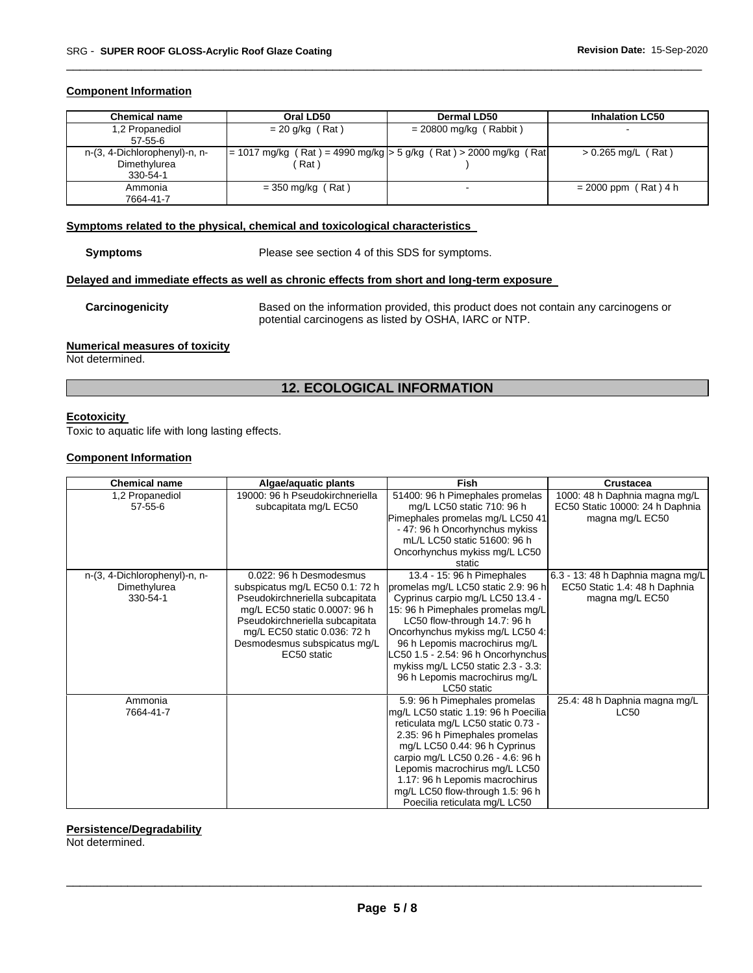#### **Component Information**

| <b>Chemical name</b>          | Oral LD50           | <b>Dermal LD50</b>                                                 | <b>Inhalation LC50</b> |
|-------------------------------|---------------------|--------------------------------------------------------------------|------------------------|
| 1,2 Propanediol               | $= 20$ g/kg (Rat)   | $= 20800$ mg/kg (Rabbit)                                           |                        |
| $57-55-6$                     |                     |                                                                    |                        |
| n-(3, 4-Dichlorophenyl)-n, n- |                     | = 1017 mg/kg (Rat) = 4990 mg/kg  > 5 g/kg (Rat) > 2000 mg/kg (Rat) | $> 0.265$ mg/L (Rat)   |
| Dimethylurea                  | Rat)                |                                                                    |                        |
| 330-54-1                      |                     |                                                                    |                        |
| Ammonia                       | $=$ 350 mg/kg (Rat) | ٠                                                                  | $= 2000$ ppm (Rat) 4 h |
| 7664-41-7                     |                     |                                                                    |                        |

\_\_\_\_\_\_\_\_\_\_\_\_\_\_\_\_\_\_\_\_\_\_\_\_\_\_\_\_\_\_\_\_\_\_\_\_\_\_\_\_\_\_\_\_\_\_\_\_\_\_\_\_\_\_\_\_\_\_\_\_\_\_\_\_\_\_\_\_\_\_\_\_\_\_\_\_\_\_\_\_\_\_\_\_\_\_\_\_\_\_\_\_\_

#### **Symptoms related to the physical, chemical and toxicological characteristics**

**Symptoms** Please see section 4 of this SDS for symptoms.

#### **Delayed and immediate effects as well as chronic effects from short and long-term exposure**

**Carcinogenicity** Based on the information provided, this product does not contain any carcinogens or potential carcinogens as listed by OSHA, IARC or NTP.

#### **Numerical measures of toxicity**

Not determined.

# **12. ECOLOGICAL INFORMATION**

#### **Ecotoxicity**

Toxic to aquatic life with long lasting effects.

#### **Component Information**

| <b>Chemical name</b>          | Algae/aquatic plants            | <b>Fish</b>                                                           | <b>Crustacea</b>                      |
|-------------------------------|---------------------------------|-----------------------------------------------------------------------|---------------------------------------|
| 1,2 Propanediol               | 19000: 96 h Pseudokirchneriella | 51400: 96 h Pimephales promelas                                       | 1000: 48 h Daphnia magna mg/L         |
| $57 - 55 - 6$                 | subcapitata mg/L EC50           | mg/L LC50 static 710: 96 h                                            | EC50 Static 10000: 24 h Daphnia       |
|                               |                                 | Pimephales promelas mg/L LC50 41                                      | magna mg/L EC50                       |
|                               |                                 | - 47: 96 h Oncorhynchus mykiss                                        |                                       |
|                               |                                 | mL/L LC50 static 51600: 96 h                                          |                                       |
|                               |                                 | Oncorhynchus mykiss mg/L LC50                                         |                                       |
|                               |                                 | static                                                                |                                       |
| n-(3, 4-Dichlorophenyl)-n, n- | 0.022: 96 h Desmodesmus         | 13.4 - 15: 96 h Pimephales                                            | 6.3 - 13: 48 h Daphnia magna mg/L     |
| Dimethylurea                  | subspicatus mg/L EC50 0.1: 72 h | promelas mg/L LC50 static 2.9: 96 h                                   | EC50 Static 1.4: 48 h Daphnia         |
| 330-54-1                      | Pseudokirchneriella subcapitata | Cyprinus carpio mg/L LC50 13.4 -                                      | magna mg/L EC50                       |
|                               | mg/L EC50 static 0.0007: 96 h   | 15: 96 h Pimephales promelas mg/L                                     |                                       |
|                               | Pseudokirchneriella subcapitata | LC50 flow-through 14.7: 96 h                                          |                                       |
|                               | mg/L EC50 static 0.036: 72 h    | Oncorhynchus mykiss mg/L LC50 4:                                      |                                       |
|                               | Desmodesmus subspicatus mg/L    | 96 h Lepomis macrochirus mg/L                                         |                                       |
|                               | EC50 static                     | LC50 1.5 - 2.54: 96 h Oncorhynchus                                    |                                       |
|                               |                                 | mykiss mg/L LC50 static 2.3 - 3.3:                                    |                                       |
|                               |                                 | 96 h Lepomis macrochirus mg/L<br>LC50 static                          |                                       |
| Ammonia                       |                                 |                                                                       |                                       |
| 7664-41-7                     |                                 | 5.9: 96 h Pimephales promelas<br>mg/L LC50 static 1.19: 96 h Poecilia | 25.4: 48 h Daphnia magna mg/L<br>LC50 |
|                               |                                 | reticulata mg/L LC50 static 0.73 -                                    |                                       |
|                               |                                 | 2.35: 96 h Pimephales promelas                                        |                                       |
|                               |                                 | mg/L LC50 0.44: 96 h Cyprinus                                         |                                       |
|                               |                                 | carpio mg/L LC50 0.26 - 4.6: 96 h                                     |                                       |
|                               |                                 | Lepomis macrochirus mg/L LC50                                         |                                       |
|                               |                                 | 1.17: 96 h Lepomis macrochirus                                        |                                       |
|                               |                                 | mg/L LC50 flow-through 1.5: 96 h                                      |                                       |
|                               |                                 | Poecilia reticulata mg/L LC50                                         |                                       |

#### **Persistence/Degradability**

Not determined.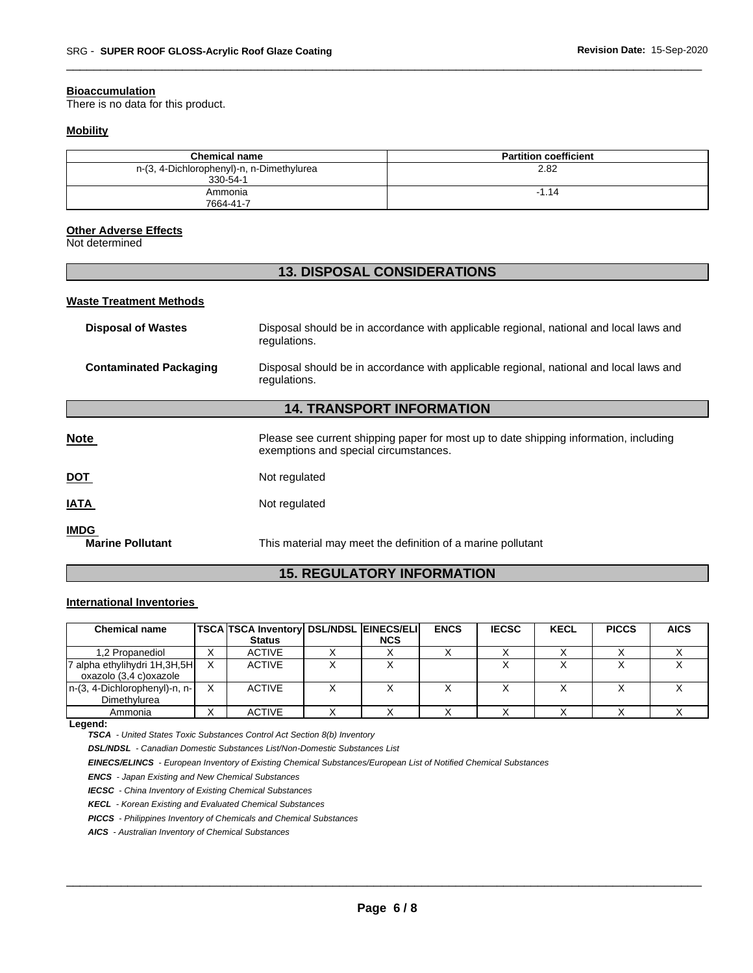#### **Bioaccumulation**

There is no data for this product.

#### **Mobility**

| <b>Chemical name</b>                                  | <b>Partition coefficient</b> |
|-------------------------------------------------------|------------------------------|
| n-(3, 4-Dichlorophenyl)-n, n-Dimethylurea<br>330-54-1 | 2.82                         |
| Ammonia<br>7664-41-7                                  | $-1.14$                      |

\_\_\_\_\_\_\_\_\_\_\_\_\_\_\_\_\_\_\_\_\_\_\_\_\_\_\_\_\_\_\_\_\_\_\_\_\_\_\_\_\_\_\_\_\_\_\_\_\_\_\_\_\_\_\_\_\_\_\_\_\_\_\_\_\_\_\_\_\_\_\_\_\_\_\_\_\_\_\_\_\_\_\_\_\_\_\_\_\_\_\_\_\_

#### **Other Adverse Effects**

Not determined

# **13. DISPOSAL CONSIDERATIONS**

#### **Waste Treatment Methods**

| <b>Disposal of Wastes</b>              | Disposal should be in accordance with applicable regional, national and local laws and<br>regulations.                         |
|----------------------------------------|--------------------------------------------------------------------------------------------------------------------------------|
| <b>Contaminated Packaging</b>          | Disposal should be in accordance with applicable regional, national and local laws and<br>regulations.                         |
|                                        | <b>14. TRANSPORT INFORMATION</b>                                                                                               |
| <b>Note</b>                            | Please see current shipping paper for most up to date shipping information, including<br>exemptions and special circumstances. |
| <u>DOT</u>                             | Not regulated                                                                                                                  |
| <b>IATA</b>                            | Not regulated                                                                                                                  |
| <b>IMDG</b><br><b>Marine Pollutant</b> | This material may meet the definition of a marine pollutant                                                                    |

# **15. REGULATORY INFORMATION**

#### **International Inventories**

| <b>Chemical name</b>                                   | TSCA TSCA Inventory   DSL/NDSL   EINECS/ELI |            | <b>ENCS</b> | <b>IECSC</b> | <b>KECL</b> | <b>PICCS</b> | <b>AICS</b> |
|--------------------------------------------------------|---------------------------------------------|------------|-------------|--------------|-------------|--------------|-------------|
|                                                        | <b>Status</b>                               | <b>NCS</b> |             |              |             |              |             |
| 1.2 Propanediol                                        | <b>ACTIVE</b>                               |            |             |              |             |              |             |
| 7 alpha ethylihydri 1H,3H,5H<br>oxazolo (3,4 c)oxazole | ACTIVE                                      |            |             |              |             |              |             |
| $n-(3, 4-Dichlorophenyl)-n, n-$<br>Dimethylurea        | ACTIVE                                      |            |             |              |             |              |             |
| Ammonia                                                | <b>ACTIVE</b>                               |            |             |              |             |              |             |

#### **Legend:**

*TSCA - United States Toxic Substances Control Act Section 8(b) Inventory* 

*DSL/NDSL - Canadian Domestic Substances List/Non-Domestic Substances List* 

*EINECS/ELINCS - European Inventory of Existing Chemical Substances/European List of Notified Chemical Substances* 

*ENCS - Japan Existing and New Chemical Substances* 

*IECSC - China Inventory of Existing Chemical Substances* 

*KECL - Korean Existing and Evaluated Chemical Substances* 

*PICCS - Philippines Inventory of Chemicals and Chemical Substances* 

*AICS - Australian Inventory of Chemical Substances*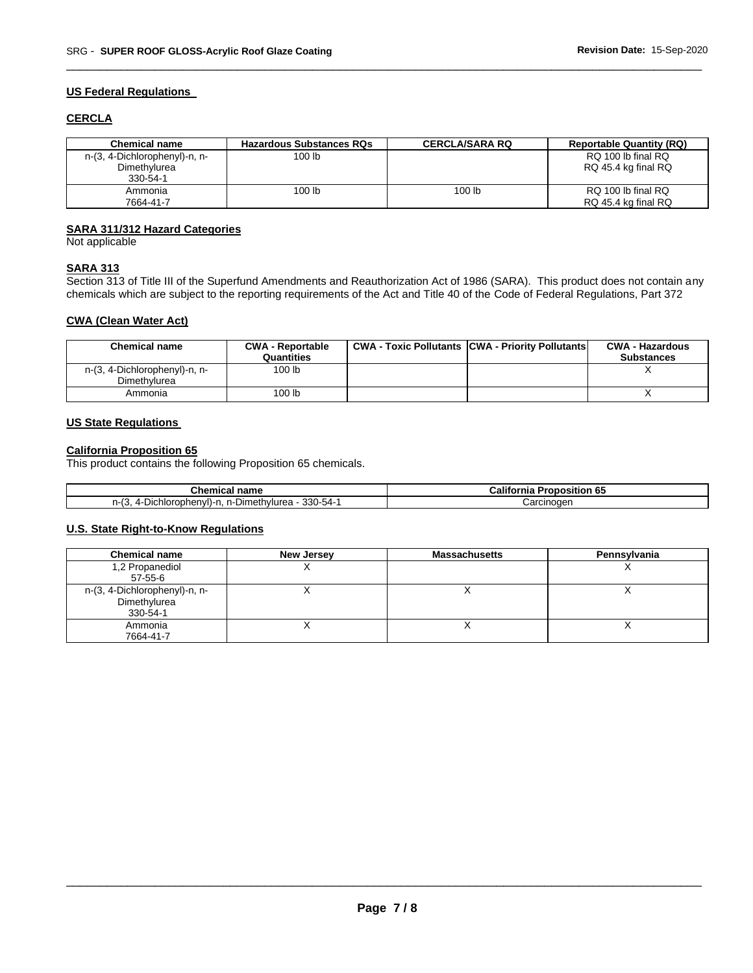## **US Federal Regulations**

## **CERCLA**

| <b>Chemical name</b>          | <b>Hazardous Substances RQs</b> | <b>CERCLA/SARA RQ</b> | <b>Reportable Quantity (RQ)</b> |
|-------------------------------|---------------------------------|-----------------------|---------------------------------|
| n-(3, 4-Dichlorophenyl)-n, n- | 100 <sub>lb</sub>               |                       | RQ 100 lb final RQ              |
| Dimethylurea                  |                                 |                       | RQ 45.4 kg final RQ             |
| 330-54-1                      |                                 |                       |                                 |
| Ammonia                       | 100 <sub>lb</sub>               | 100 <sub>h</sub>      | RQ 100 lb final RQ              |
| 7664-41-7                     |                                 |                       | RQ 45.4 kg final RQ             |

\_\_\_\_\_\_\_\_\_\_\_\_\_\_\_\_\_\_\_\_\_\_\_\_\_\_\_\_\_\_\_\_\_\_\_\_\_\_\_\_\_\_\_\_\_\_\_\_\_\_\_\_\_\_\_\_\_\_\_\_\_\_\_\_\_\_\_\_\_\_\_\_\_\_\_\_\_\_\_\_\_\_\_\_\_\_\_\_\_\_\_\_\_

#### **SARA 311/312 Hazard Categories**

Not applicable

# **SARA 313**

Section 313 of Title III of the Superfund Amendments and Reauthorization Act of 1986 (SARA). This product does not contain any chemicals which are subject to the reporting requirements of the Act and Title 40 of the Code of Federal Regulations, Part 372

#### **CWA (Clean Water Act)**

| <b>Chemical name</b>                          | <b>CWA - Reportable</b><br>Quantities | <b>CWA - Toxic Pollutants CWA - Priority Pollutants</b> | <b>CWA - Hazardous</b><br><b>Substances</b> |
|-----------------------------------------------|---------------------------------------|---------------------------------------------------------|---------------------------------------------|
| n-(3, 4-Dichlorophenyl)-n, n-<br>Dimethylurea | 100 lb                                |                                                         |                                             |
| Ammonia                                       | 100 lb                                |                                                         |                                             |

#### **US State Regulations**

l,

# **California Proposition 65**

This product contains the following Proposition 65 chemicals.

| <b>Chemical name</b>                                                                                    | California<br>$\mathbf{f}$<br>Proposition<br>65 ו |  |
|---------------------------------------------------------------------------------------------------------|---------------------------------------------------|--|
| $330 - 54$ $\cdot$<br>"<br>าlorophenvl`<br><b>Dimethvlurea</b><br>ി ( പ<br>.<br>$4 - 1$<br>.<br>ノル<br>. | Carcinogen                                        |  |

#### **U.S. State Right-to-Know Regulations**

| <b>Chemical name</b>          | New Jersey | <b>Massachusetts</b> | Pennsylvania |
|-------------------------------|------------|----------------------|--------------|
| 1,2 Propanediol<br>57-55-6    |            |                      |              |
| n-(3, 4-Dichlorophenyl)-n, n- |            |                      |              |
| Dimethylurea                  |            | $\lambda$            |              |
| 330-54-1                      |            |                      |              |
| Ammonia                       |            |                      |              |
| 7664-41-7                     |            |                      |              |